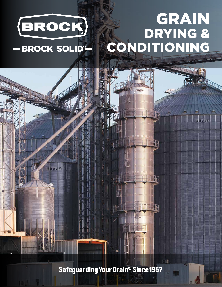

- BROCK SOLID®

# GRAIN DRYING & CONDITIONING



**Safeguarding Your Grain<sup>®</sup> Since 1957**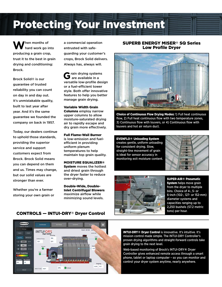# Protecting Your Investment

When months of hard work go into producing a grain crop, trust it to the best in grain drying and conditioning: Brock.

Brock Solid® is our guarantee of trusted reliability you can count on day in and day out. It's unmistakable quality, built to last year after year. And it's the same guarantee we founded the company on back in 1957.

Today, our dealers continue to uphold those standards, providing the superior service and support customers expect from Brock. Brock Solid means you can depend on them and us. Times may change, but our solid values are stronger than ever.

Whether you're a farmer storing your own grain or a commercial operation entrusted with safeguarding your customer's crops, Brock Solid delivers. Always has, always will.

**G**rain drying systems are available in a versatile low-profile design or a fuel-efficient tower style. Both offer innovative features to help you better manage grain drying.

Variable Width Grain Columns employ narrow upper columns to allow moisture-saturated drying air to rapidly escape and dry grain more effectively.

Full Flame-Wall Burner is low-emission and fuelefficient in providing uniform plenum temperatures to help maintain top grain quality.

MOISTURE EQUALIZER® System moves the hottest and driest grain through the dryer faster to reduce over-drying.

Double-Wide, Double-Inlet Centrifugal Blowers maximize airflow while minimizing sound levels.

# SUPERB ENERGY MISER® SQ Series Low Profile Dryer



Choice of Continuous Flow Drying Modes: 1) Full heat continuous flow, 2) Full heat continuous flow with two temperature zones, 3) Continuous flow with louvers, or 4) Continuous flow with louvers and hot air return duct.

EVENFLO® Unloading System creates gentle, uniform unloading for consistent drying. Slow, straight-line movement of grain is ideal for sensor accuracy in monitoring exit moisture content.





SUPER-AIR® Pneumatic System helps move grain from the dryer to multiple bins. Choice of 4-, 5- or 6-inch (102-, 127- or 152-mm) diameter systems and capacities ranging up to 2,250 bushels (57.2 metric tons) per hour.

INTUI-DRY® Dryer Control is innovative. It's intuitive. It's mission control made simple. The INTUI-DRY Controller's proven drying algorithms and straight-forward controls take grain drying to the next level.

Web-based monitoring of Brock's INTUI-DRY® Dryer Controller gives enhanced remote access through a smart phone, tablet or laptop computer – so you can monitor and control your dryer system anytime, nearly anywhere.

# CONTROLS — INTUI-DRY® Dryer Control

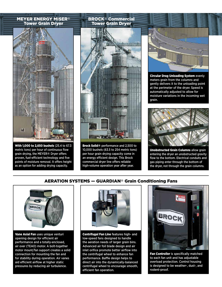### MEYER ENERGY MISER® Tower Grain Dryer



With 1,000 to 2,650 bushels (25.4 to 67.3) metric tons) per hour of continuous flow grain drying, the MEYER® Dryer offers proven, fuel-efficient technology and five points of moisture removal. It offers height as an option for adding drying capacity.

# $-100$

Brock Solid® performance and 2,500 to 10,000 bushels (63.5 to 254 metric tons) per hour grain drying capacity come in an energy efficient design. This Brock commercial dryer line offers reliable high-volume operation year after year.



**Circular Drag Unloading System evenly** meters grain from the columns and gently delivers it to the unloading point at the perimeter of the dryer. Speed is automatically adjusted to allow for moisture variations in the incoming wet grain.



Unobstructed Grain Columns allow grain entering the dryer an unobstructed gravity flow to the bottom. Electrical conduits and gas piping enter through the bottom of the dryer, not through the grain columns.

# AERATION SYSTEMS — GUARDIAN® Grain Conditioning Fans



Vane Axial Fan uses unique venturi opening design for efficient air performance and a totally-enclosed, air over (TEAO) motor. A bolt-together motor mount/fan support creates a solid connection for mounting the fan and for stability during operation. Air vanes aid efficient airflow at higher static pressures by reducing air turbulence.



Centrifugal Fan Line features high- and low-speed fans designed to handle the aeration needs of larger grain bins. Advanced air foil blade design and air inlet orifice promote better airflow into the centrifugal wheel to enhance fan performance. Baffle design helps to direct air into the dynamically-balanced centrifugal wheel to encourage smooth, efficient fan operation.



Fan Controller is specifically matched to each fan unit and has adjustable overload protection. Control housing is designed to be weather-, dust-, and rodent-proof.

# BROCK® Commercial Tower Grain Dryer